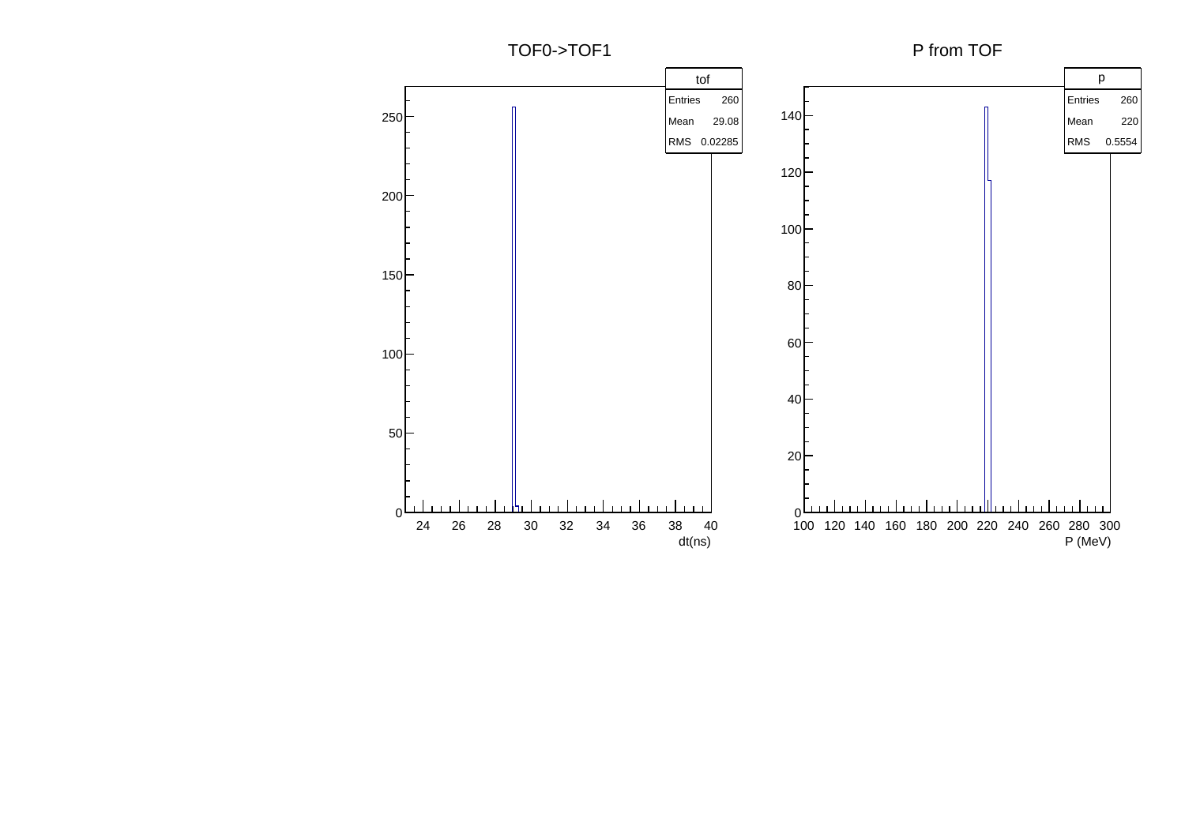TOF0->TOF1

P from TOF

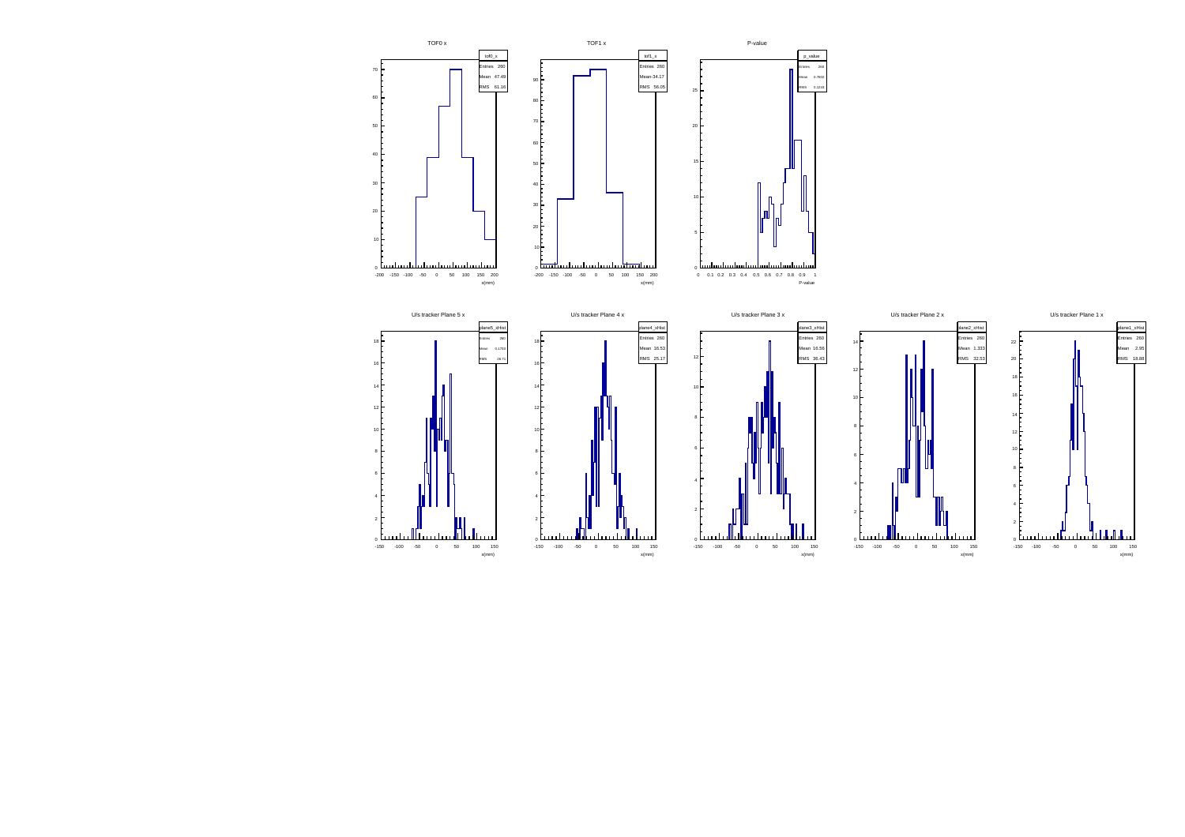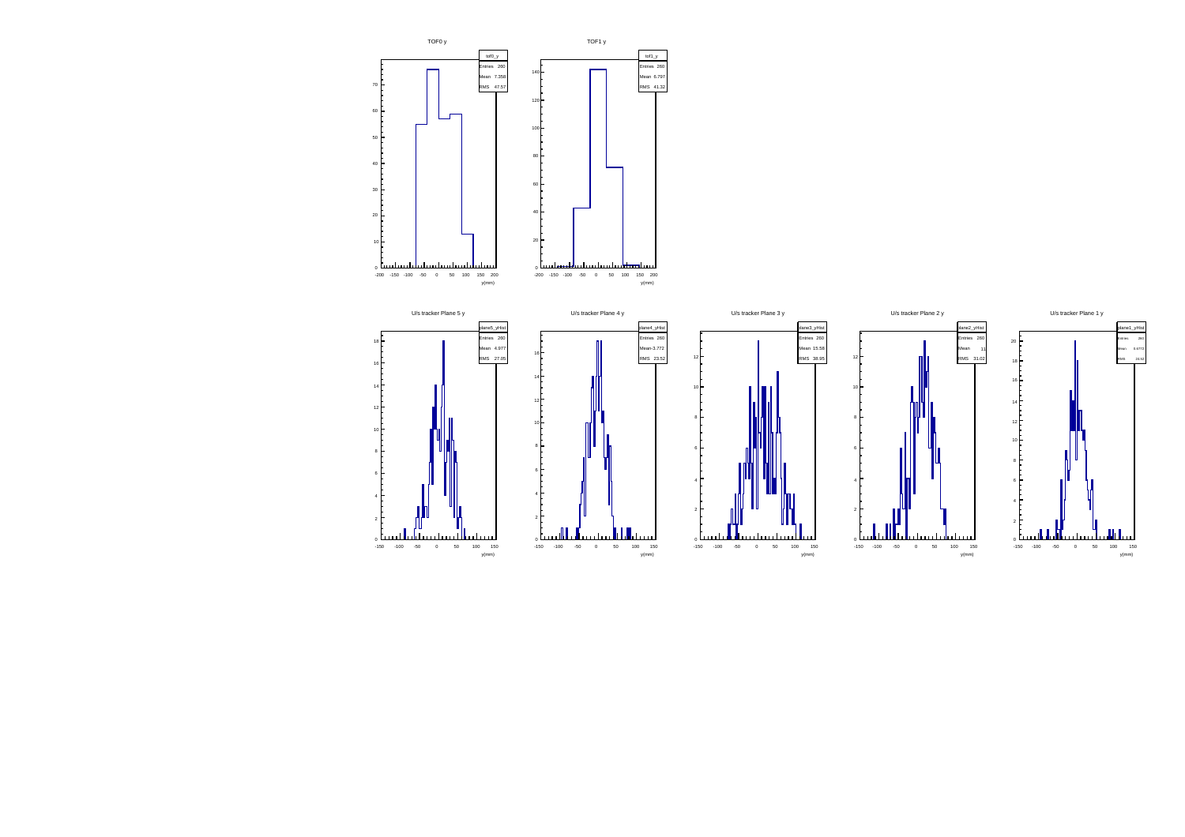









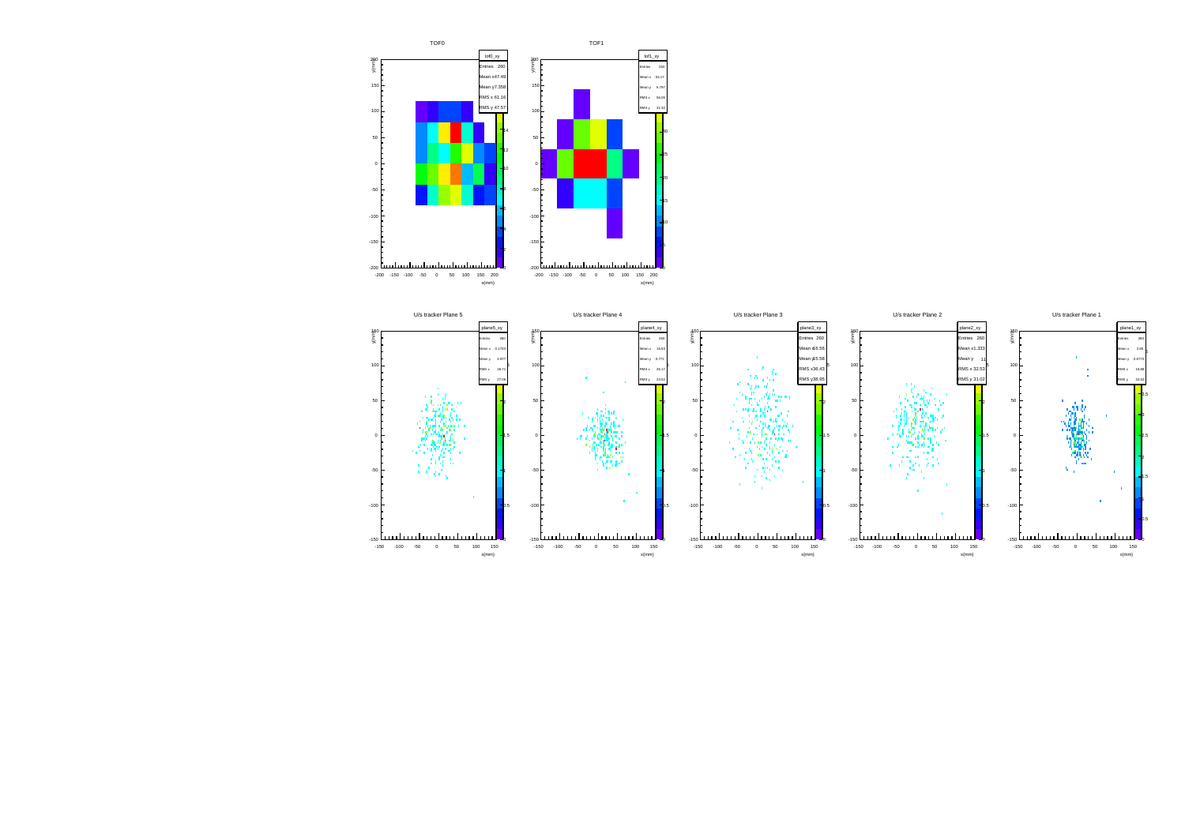

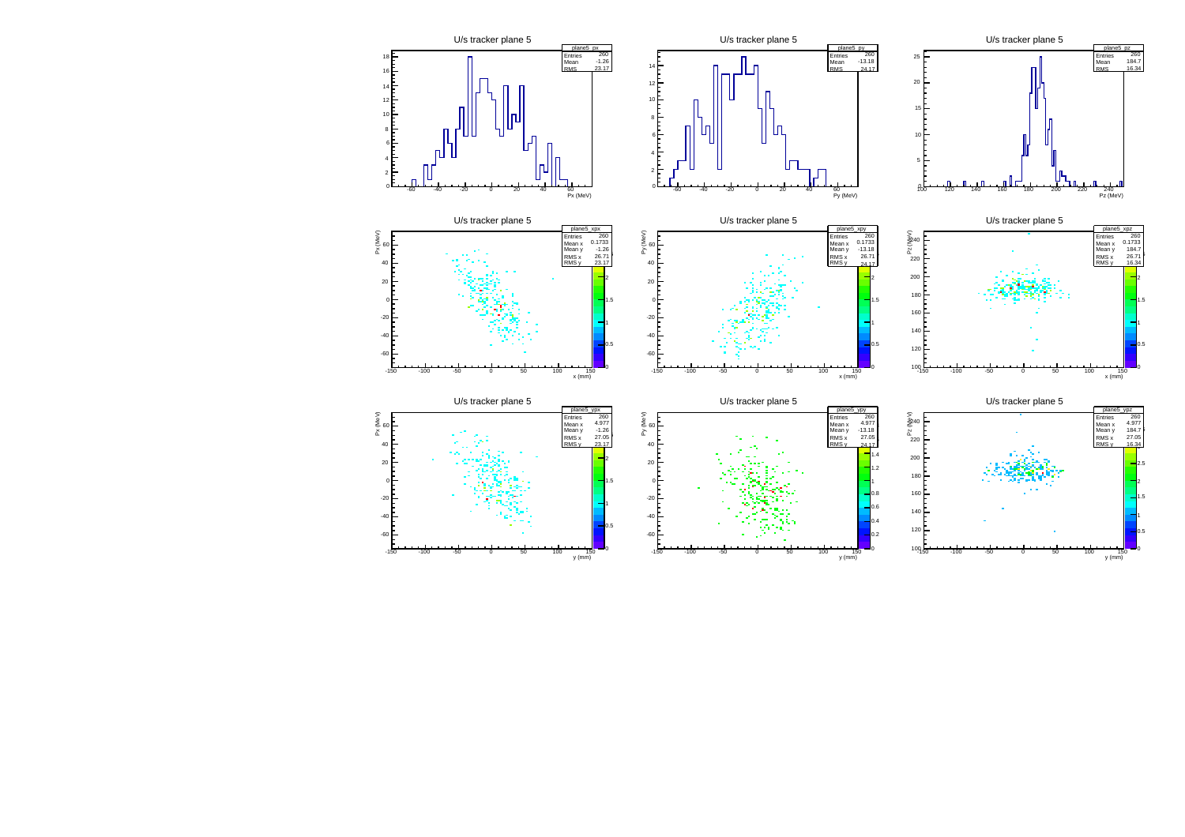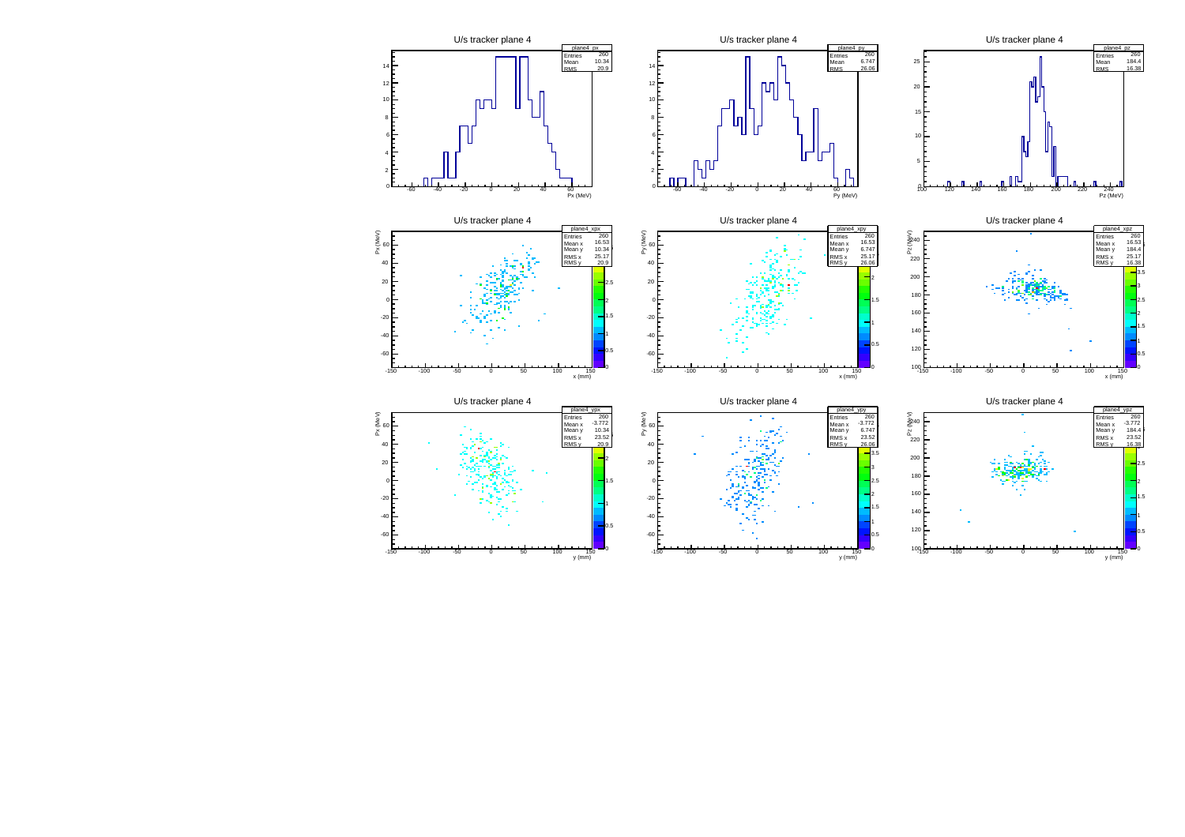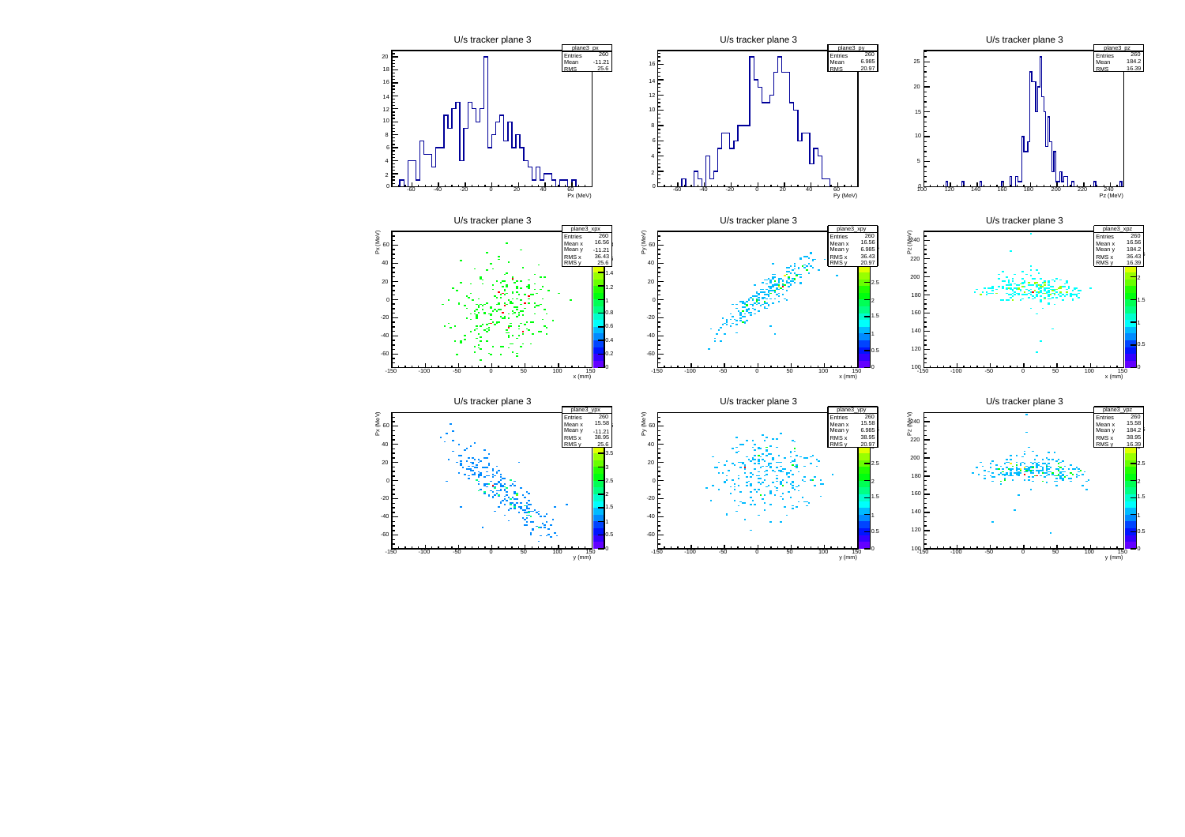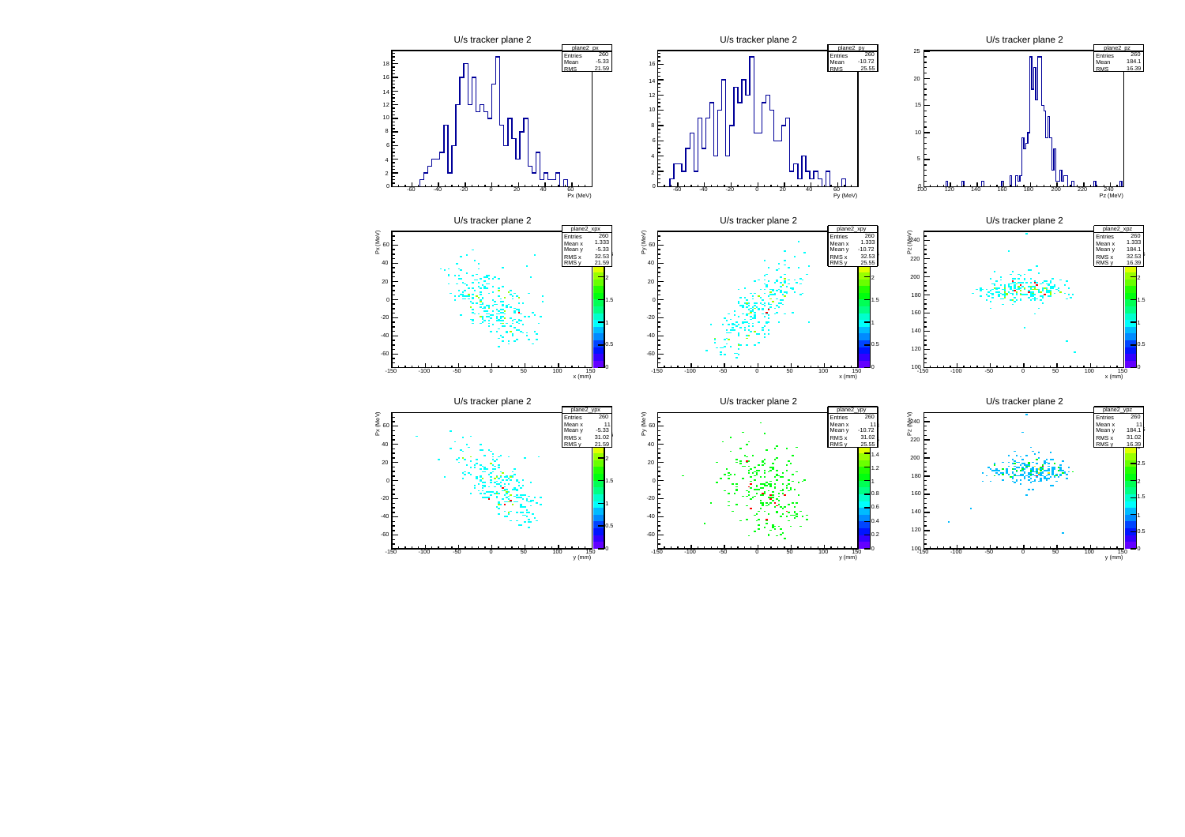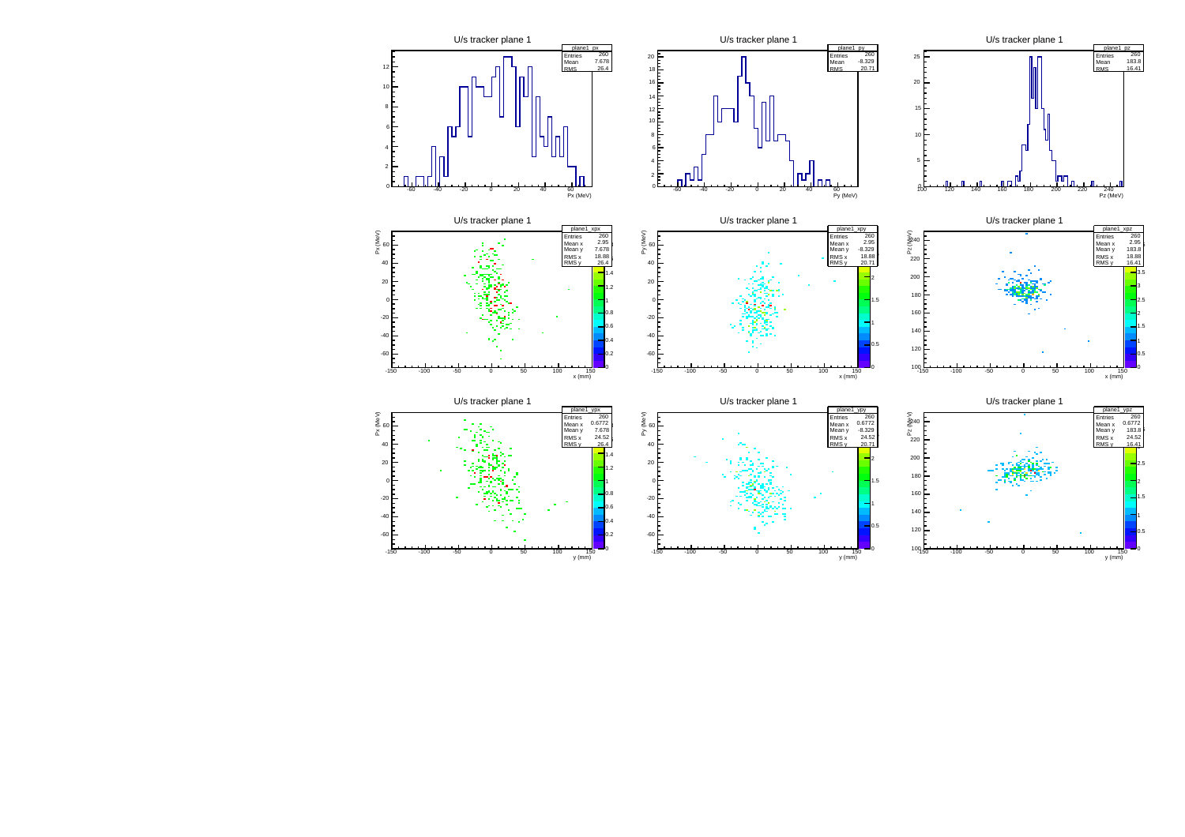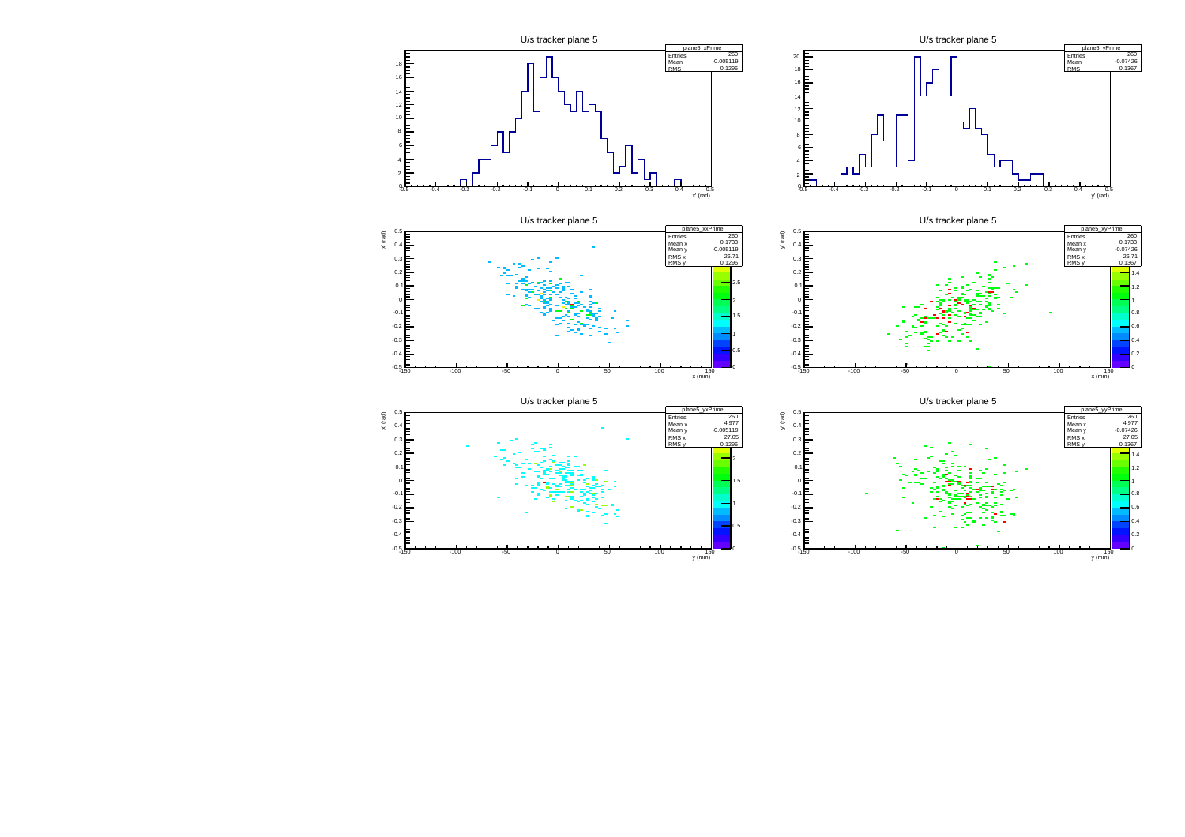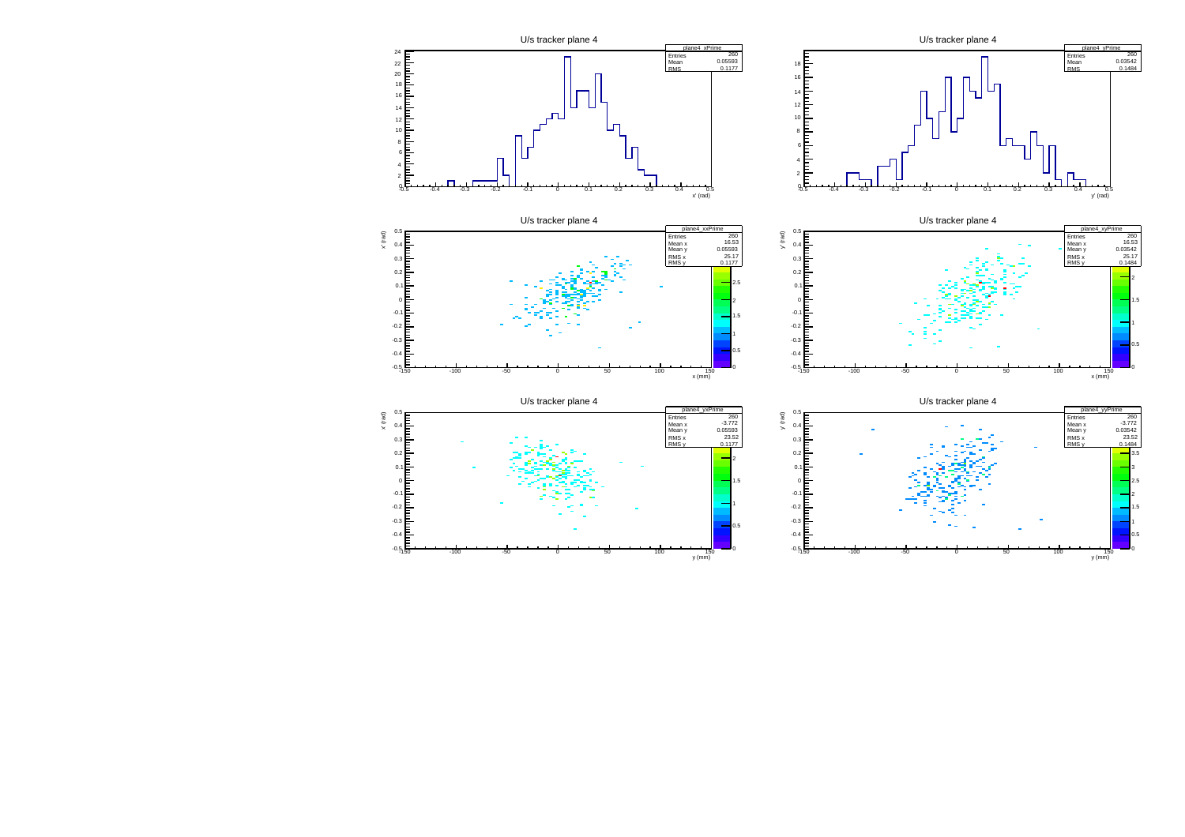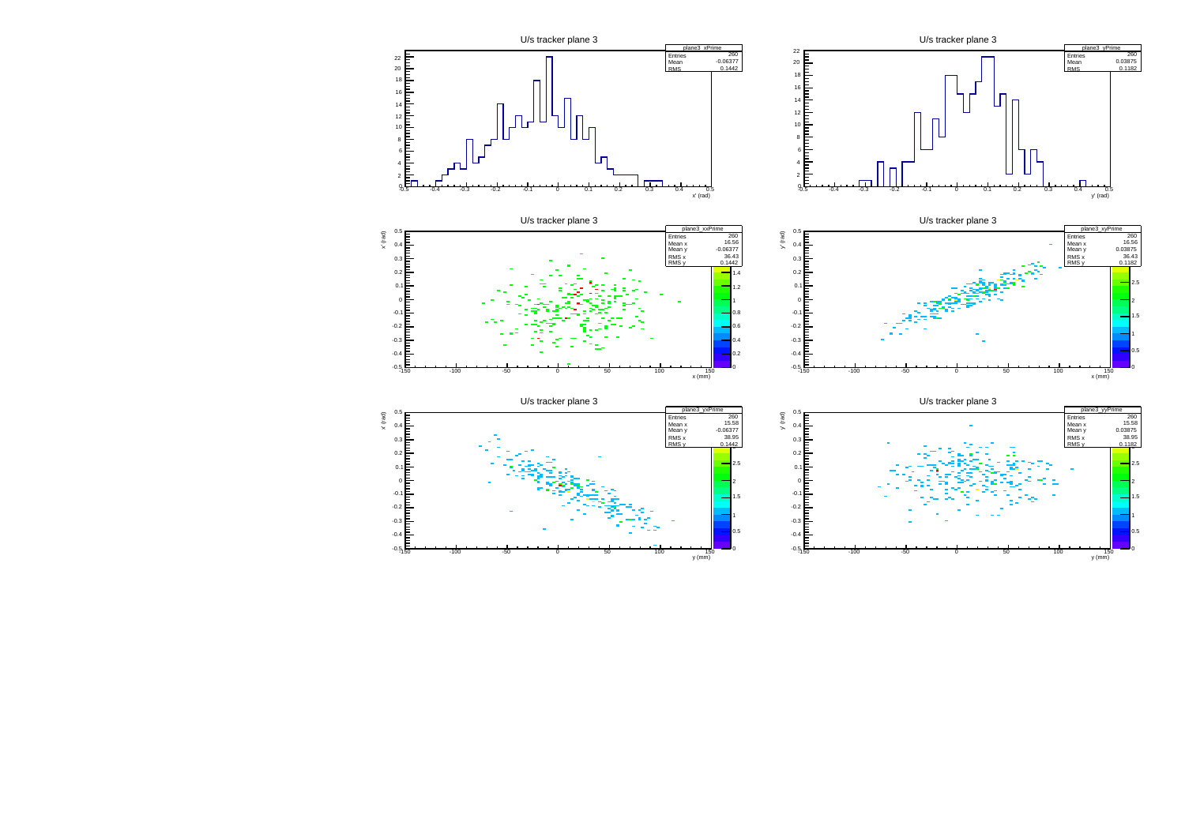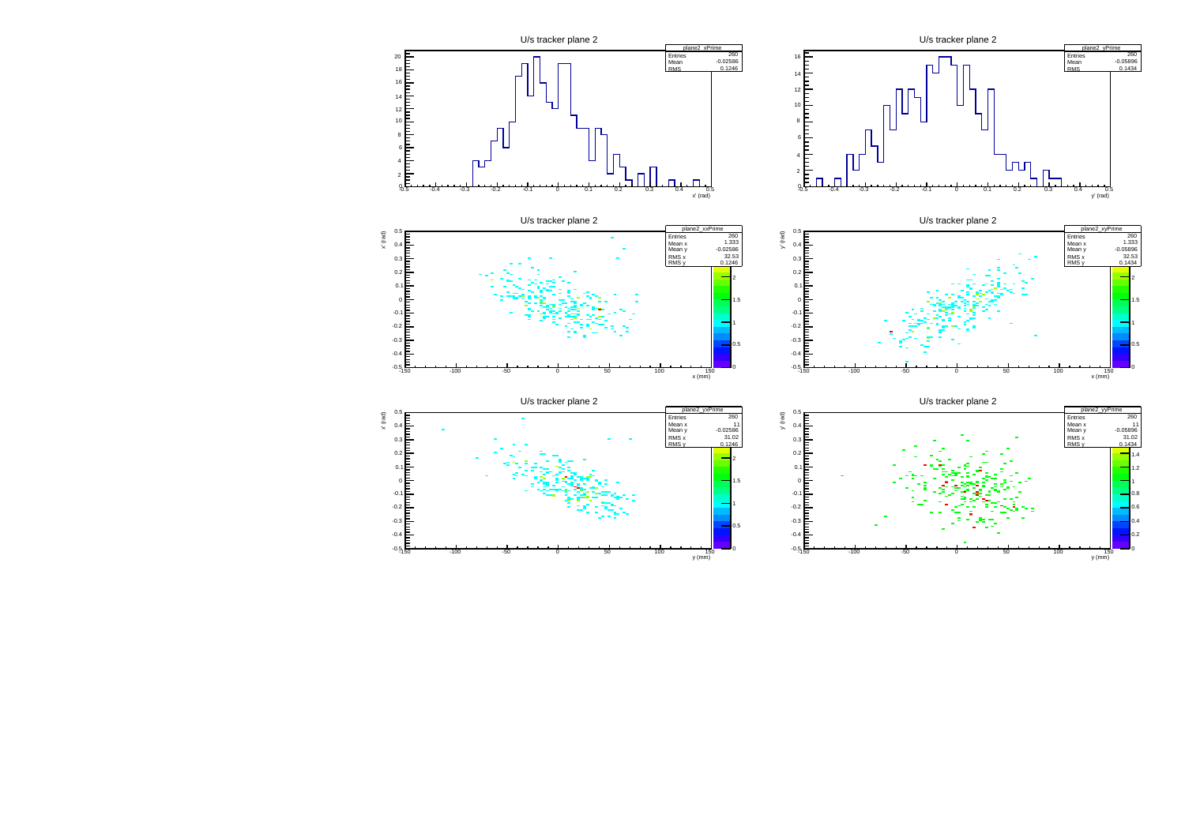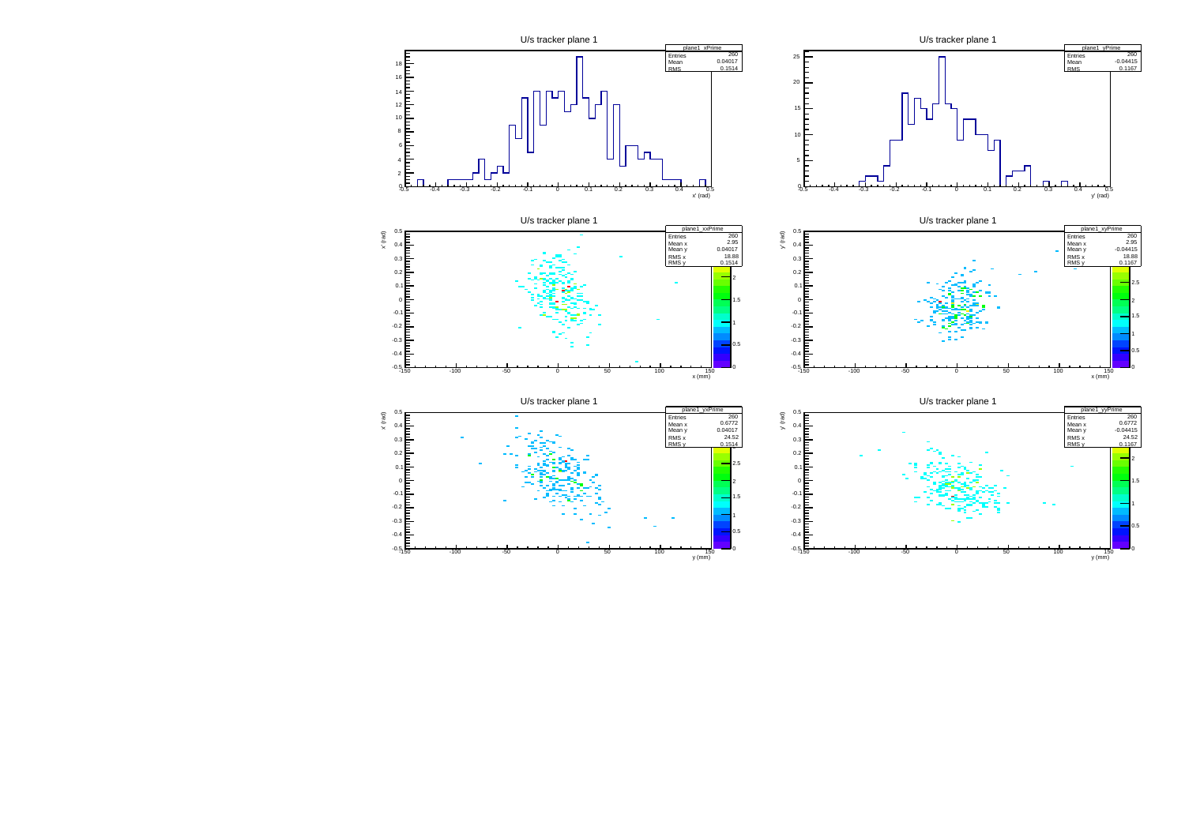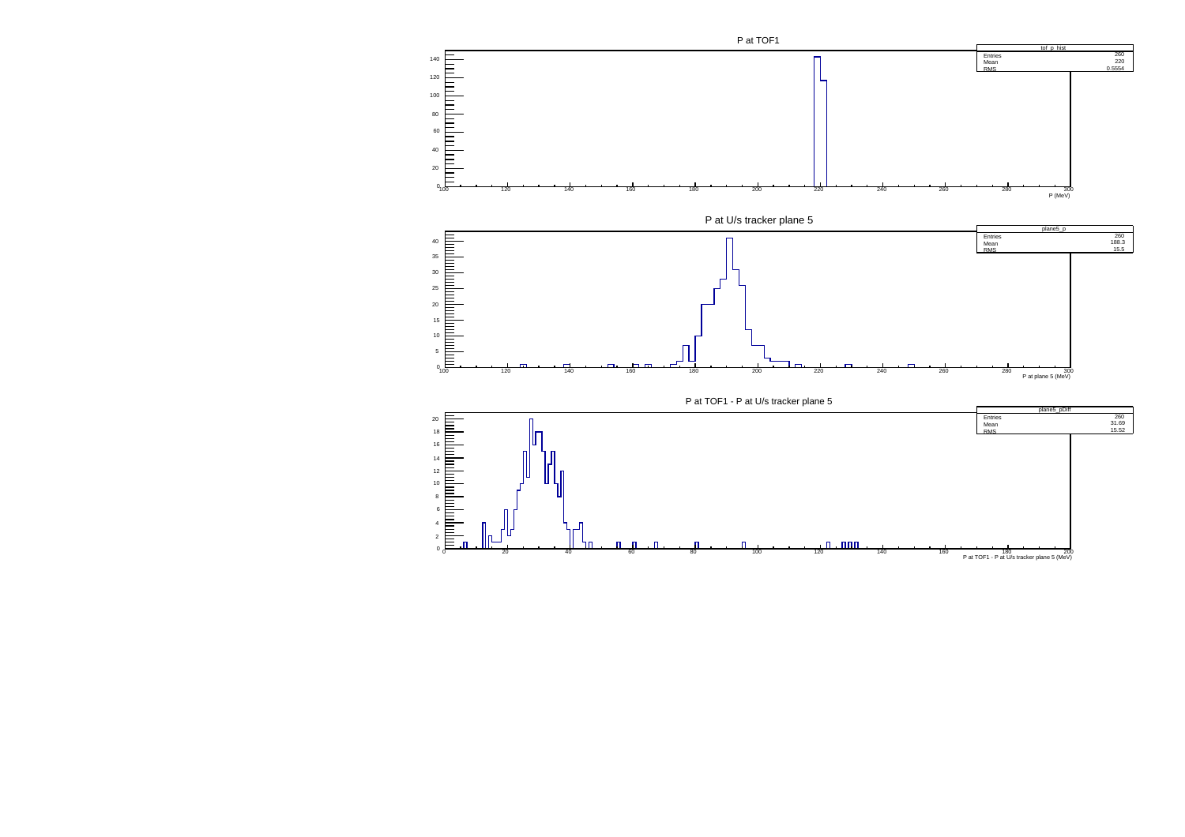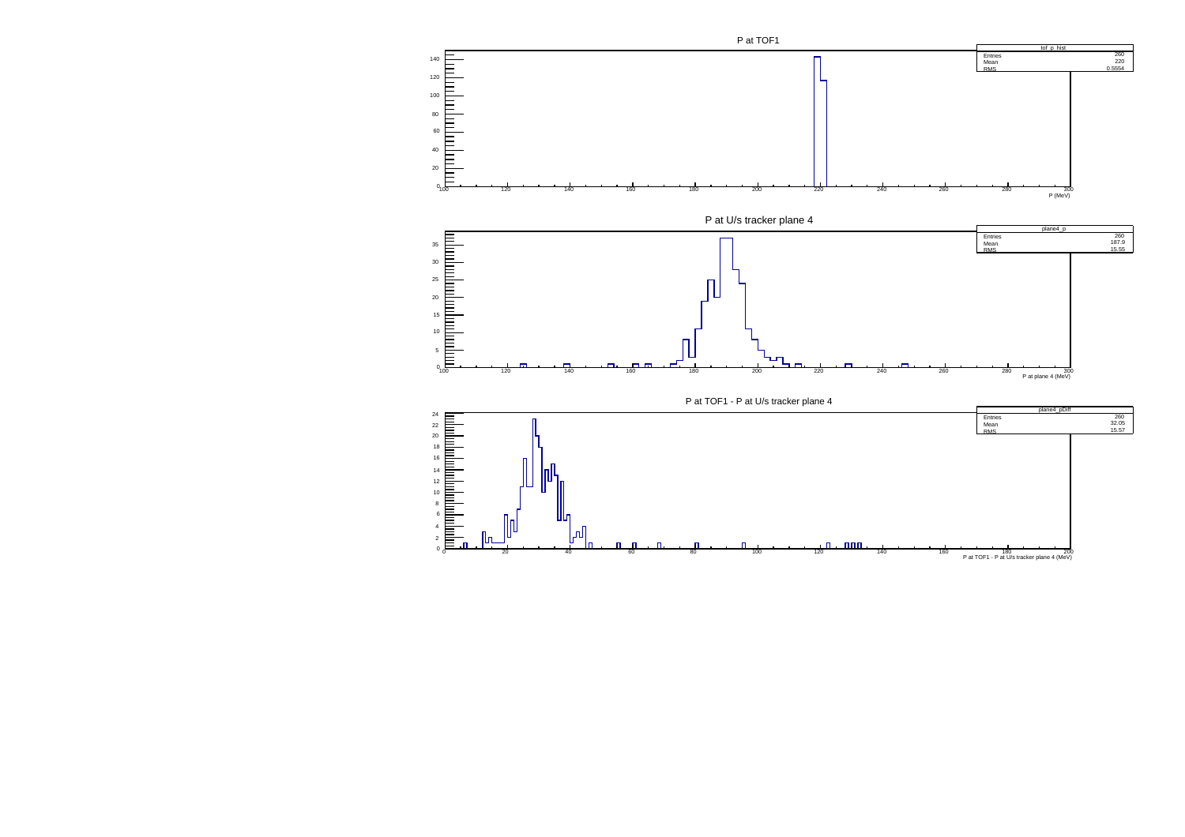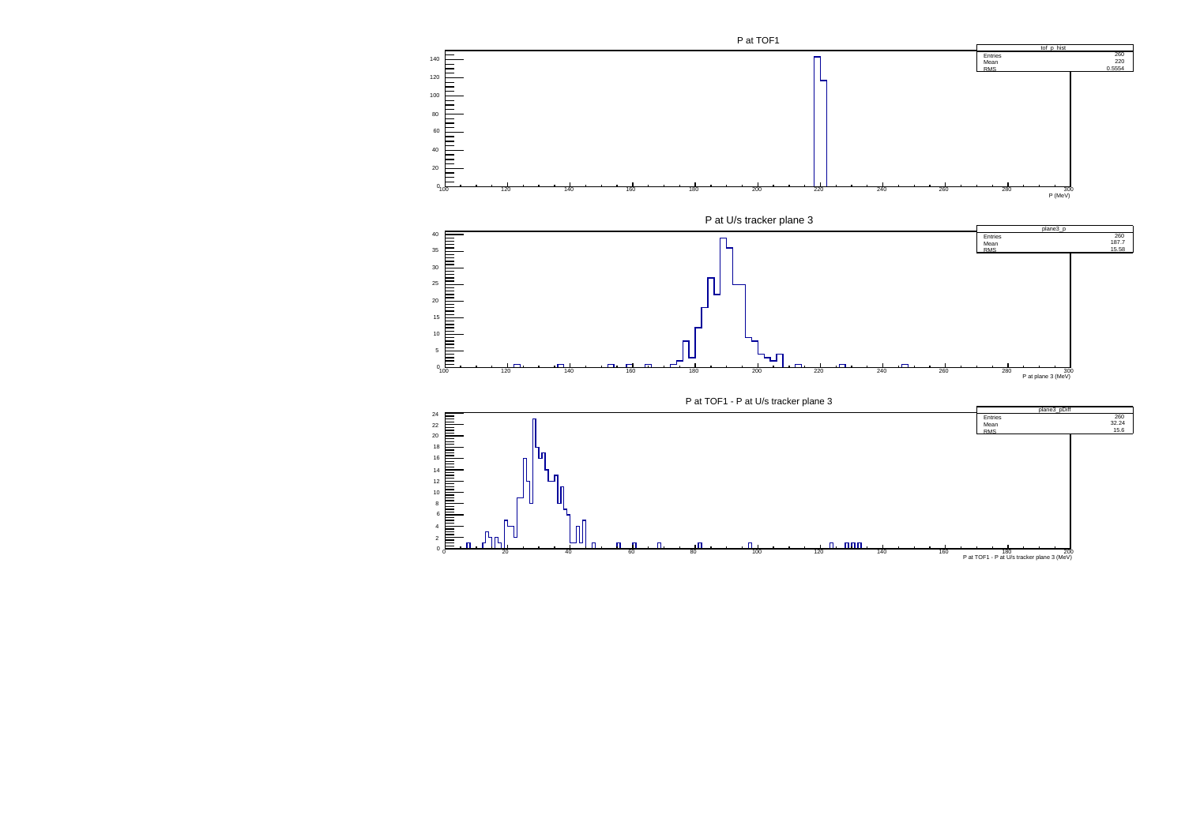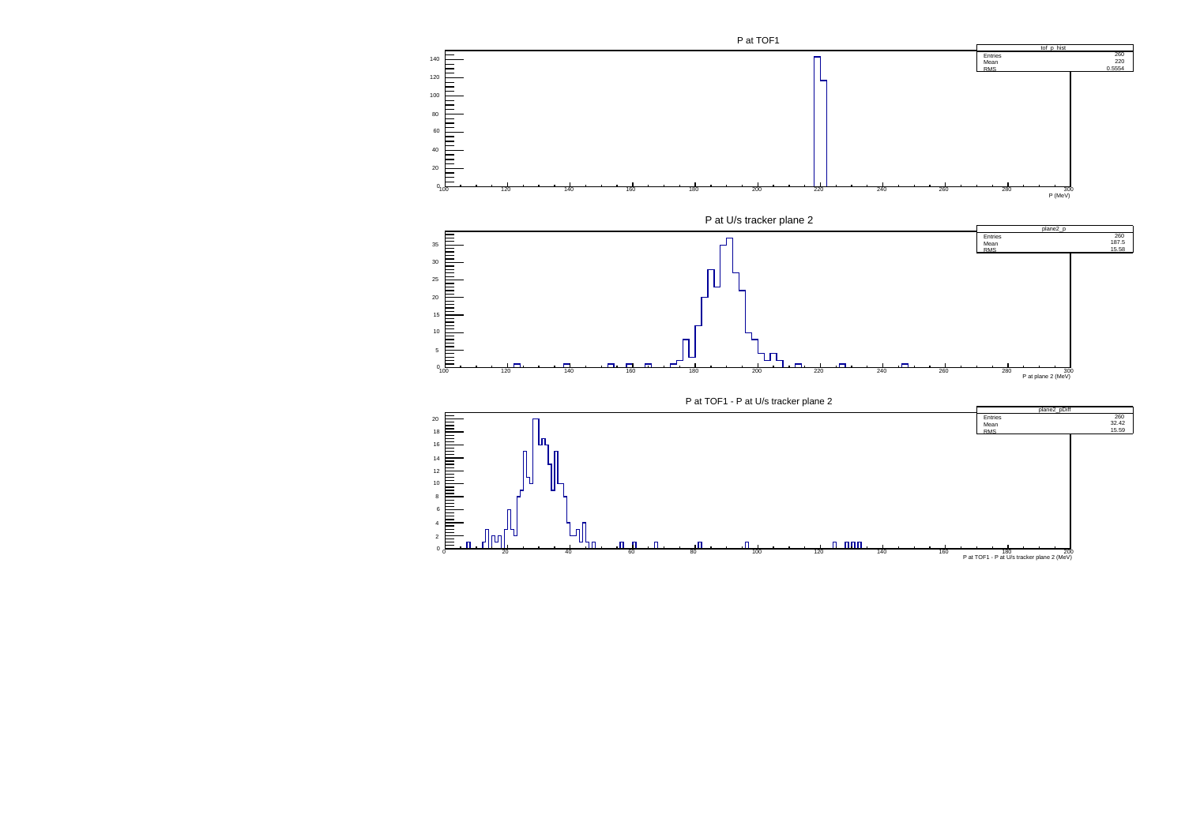